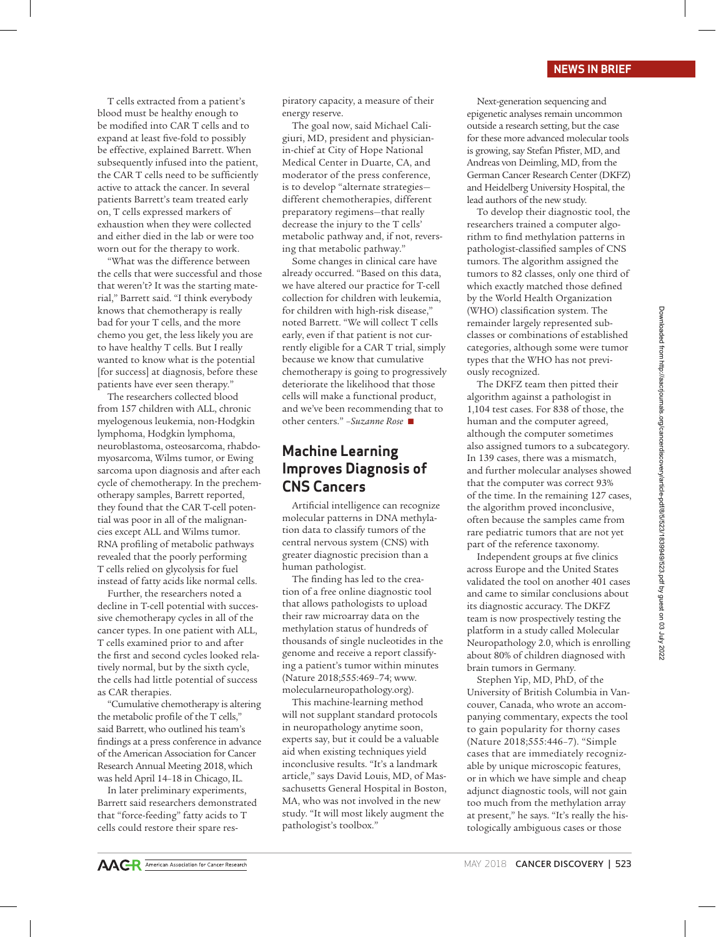#### **NEWS IN BRIEF**

T cells extracted from a patient's blood must be healthy enough to be modified into CAR T cells and to expand at least five-fold to possibly be effective, explained Barrett. When subsequently infused into the patient, the CAR T cells need to be sufficiently active to attack the cancer. In several patients Barrett's team treated early on, T cells expressed markers of exhaustion when they were collected and either died in the lab or were too worn out for the therapy to work.

"What was the difference between the cells that were successful and those that weren't? It was the starting material," Barrett said. "I think everybody knows that chemotherapy is really bad for your T cells, and the more chemo you get, the less likely you are to have healthy T cells. But I really wanted to know what is the potential [for success] at diagnosis, before these patients have ever seen therapy."

The researchers collected blood from 157 children with ALL, chronic myelogenous leukemia, non-Hodgkin lymphoma, Hodgkin lymphoma, neuroblastoma, osteosarcoma, rhabdomyosarcoma, Wilms tumor, or Ewing sarcoma upon diagnosis and after each cycle of chemotherapy. In the prechemotherapy samples, Barrett reported, they found that the CAR T-cell potential was poor in all of the malignancies except ALL and Wilms tumor. RNA profiling of metabolic pathways revealed that the poorly performing T cells relied on glycolysis for fuel instead of fatty acids like normal cells.

Further, the researchers noted a decline in T-cell potential with successive chemotherapy cycles in all of the cancer types. In one patient with ALL, T cells examined prior to and after the first and second cycles looked relatively normal, but by the sixth cycle, the cells had little potential of success as CAR therapies.

"Cumulative chemotherapy is altering the metabolic profile of the T cells," said Barrett, who outlined his team's findings at a press conference in advance of the American Association for Cancer Research Annual Meeting 2018, which was held April 14–18 in Chicago, IL.

In later preliminary experiments, Barrett said researchers demonstrated that "force-feeding" fatty acids to T cells could restore their spare respiratory capacity, a measure of their energy reserve.

The goal now, said Michael Caligiuri, MD, president and physicianin-chief at City of Hope National Medical Center in Duarte, CA, and moderator of the press conference, is to develop "alternate strategies different chemotherapies, different preparatory regimens—that really decrease the injury to the T cells' metabolic pathway and, if not, reversing that metabolic pathway."

Some changes in clinical care have already occurred. "Based on this data, we have altered our practice for T-cell collection for children with leukemia, for children with high-risk disease," noted Barrett. "We will collect T cells early, even if that patient is not currently eligible for a CAR T trial, simply because we know that cumulative chemotherapy is going to progressively deteriorate the likelihood that those cells will make a functional product, and we've been recommending that to other centers." -*Suzanne Rose* 

## **Machine Learning Improves Diagnosis of CNS Cancers**

Artificial intelligence can recognize molecular patterns in DNA methylation data to classify tumors of the central nervous system (CNS) with greater diagnostic precision than a human pathologist.

The finding has led to the creation of a free online diagnostic tool that allows pathologists to upload their raw microarray data on the methylation status of hundreds of thousands of single nucleotides in the genome and receive a report classifying a patient's tumor within minutes (Nature 2018;555:469–74; www. molecularneuropathology.org).

This machine-learning method will not supplant standard protocols in neuropathology anytime soon, experts say, but it could be a valuable aid when existing techniques yield inconclusive results. "It's a landmark article," says David Louis, MD, of Massachusetts General Hospital in Boston, MA, who was not involved in the new study. "It will most likely augment the pathologist's toolbox."

Next-generation sequencing and epigenetic analyses remain uncommon outside a research setting, but the case for these more advanced molecular tools is growing, say Stefan Pfister, MD, and Andreas von Deimling, MD, from the German Cancer Research Center (DKFZ) and Heidelberg University Hospital, the lead authors of the new study.

To develop their diagnostic tool, the researchers trained a computer algorithm to find methylation patterns in pathologist-classified samples of CNS tumors. The algorithm assigned the tumors to 82 classes, only one third of which exactly matched those defined by the World Health Organization (WHO) classification system. The remainder largely represented subclasses or combinations of established categories, although some were tumor types that the WHO has not previously recognized.

The DKFZ team then pitted their algorithm against a pathologist in 1,104 test cases. For 838 of those, the human and the computer agreed, although the computer sometimes also assigned tumors to a subcategory. In 139 cases, there was a mismatch, and further molecular analyses showed that the computer was correct 93% of the time. In the remaining 127 cases, the algorithm proved inconclusive, often because the samples came from rare pediatric tumors that are not yet part of the reference taxonomy.

Independent groups at five clinics across Europe and the United States validated the tool on another 401 cases and came to similar conclusions about its diagnostic accuracy. The DKFZ team is now prospectively testing the platform in a study called Molecular Neuropathology 2.0, which is enrolling about 80% of children diagnosed with brain tumors in Germany.

Stephen Yip, MD, PhD, of the University of British Columbia in Vancouver, Canada, who wrote an accompanying commentary, expects the tool to gain popularity for thorny cases (Nature 2018;555:446–7). "Simple cases that are immediately recognizable by unique microscopic features, or in which we have simple and cheap adjunct diagnostic tools, will not gain too much from the methylation array at present," he says. "It's really the histologically ambiguous cases or those